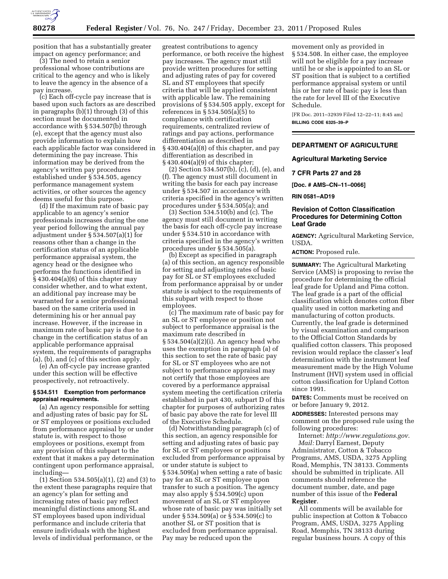

position that has a substantially greater impact on agency performance; and

(3) The need to retain a senior professional whose contributions are critical to the agency and who is likely to leave the agency in the absence of a pay increase.

(c) Each off-cycle pay increase that is based upon such factors as are described in paragraphs (b)(1) through (3) of this section must be documented in accordance with § 534.507(b) through (e), except that the agency must also provide information to explain how each applicable factor was considered in determining the pay increase. This information may be derived from the agency's written pay procedures established under § 534.505, agency performance management system activities, or other sources the agency deems useful for this purpose.

(d) If the maximum rate of basic pay applicable to an agency's senior professionals increases during the one year period following the annual pay adjustment under § 534.507(a)(1) for reasons other than a change in the certification status of an applicable performance appraisal system, the agency head or the designee who performs the functions identified in § 430.404(a)(6) of this chapter may consider whether, and to what extent, an additional pay increase may be warranted for a senior professional based on the same criteria used in determining his or her annual pay increase. However, if the increase in maximum rate of basic pay is due to a change in the certification status of an applicable performance appraisal system, the requirements of paragraphs  $(a)$ ,  $(b)$ , and  $(c)$  of this section apply.

(e) An off-cycle pay increase granted under this section will be effective prospectively, not retroactively.

## **§ 534.511 Exemption from performance appraisal requirements.**

(a) An agency responsible for setting and adjusting rates of basic pay for SL or ST employees or positions excluded from performance appraisal by or under statute is, with respect to those employees or positions, exempt from any provision of this subpart to the extent that it makes a pay determination contingent upon performance appraisal, including—

(1) Section 534.505(a)(1), (2) and (3) to the extent these paragraphs require that an agency's plan for setting and increasing rates of basic pay reflect meaningful distinctions among SL and ST employees based upon individual performance and include criteria that ensure individuals with the highest levels of individual performance, or the

greatest contributions to agency performance, or both receive the highest pay increases. The agency must still provide written procedures for setting and adjusting rates of pay for covered SL and ST employees that specify criteria that will be applied consistent with applicable law. The remaining provisions of § 534.505 apply, except for references in § 534.505(a)(5) to compliance with certification requirements, centralized review of ratings and pay actions, performance differentiation as described in § 430.404(a)(8) of this chapter, and pay differentiation as described in § 430.404(a)(9) of this chapter;

(2) Section 534.507(b), (c), (d), (e), and (f). The agency must still document in writing the basis for each pay increase under § 534.507 in accordance with criteria specified in the agency's written procedures under § 534.505(a); and

(3) Section 534.510(b) and (c). The agency must still document in writing the basis for each off-cycle pay increase under § 534.510 in accordance with criteria specified in the agency's written procedures under § 534.505(a).

(b) Except as specified in paragraph (a) of this section, an agency responsible for setting and adjusting rates of basic pay for SL or ST employees excluded from performance appraisal by or under statute is subject to the requirements of this subpart with respect to those employees.

(c) The maximum rate of basic pay for an SL or ST employee or position not subject to performance appraisal is the maximum rate described in § 534.504(a)(2)(i). An agency head who uses the exemption in paragraph (a) of this section to set the rate of basic pay for SL or ST employees who are not subject to performance appraisal may not certify that those employees are covered by a performance appraisal system meeting the certification criteria established in part 430, subpart D of this chapter for purposes of authorizing rates of basic pay above the rate for level III of the Executive Schedule.

(d) Notwithstanding paragraph (c) of this section, an agency responsible for setting and adjusting rates of basic pay for SL or ST employees or positions excluded from performance appraisal by or under statute is subject to § 534.509(a) when setting a rate of basic pay for an SL or ST employee upon transfer to such a position. The agency may also apply § 534.509(c) upon movement of an SL or ST employee whose rate of basic pay was initially set under § 534.509(a) or § 534.509(c) to another SL or ST position that is excluded from performance appraisal. Pay may be reduced upon the

movement only as provided in § 534.508. In either case, the employee will not be eligible for a pay increase until he or she is appointed to an SL or ST position that is subject to a certified performance appraisal system or until his or her rate of basic pay is less than the rate for level III of the Executive Schedule.

[FR Doc. 2011–32939 Filed 12–22–11; 8:45 am] **BILLING CODE 6325–39–P** 

# **DEPARTMENT OF AGRICULTURE**

#### **Agricultural Marketing Service**

#### **7 CFR Parts 27 and 28**

**[Doc. # AMS–CN–11–0066]** 

**RIN 0581–AD19** 

# **Revision of Cotton Classification Procedures for Determining Cotton Leaf Grade**

**AGENCY:** Agricultural Marketing Service, USDA.

**ACTION:** Proposed rule.

**SUMMARY:** The Agricultural Marketing Service (AMS) is proposing to revise the procedure for determining the official leaf grade for Upland and Pima cotton. The leaf grade is a part of the official classification which denotes cotton fiber quality used in cotton marketing and manufacturing of cotton products. Currently, the leaf grade is determined by visual examination and comparison to the Official Cotton Standards by qualified cotton classers. This proposed revision would replace the classer's leaf determination with the instrument leaf measurement made by the High Volume Instrument (HVI) system used in official cotton classification for Upland Cotton since 1991.

**DATES:** Comments must be received on or before January 9, 2012.

**ADDRESSES:** Interested persons may comment on the proposed rule using the following procedures:

Internet: *http://www.regulations.gov. Mail:* Darryl Earnest, Deputy Administrator, Cotton & Tobacco Programs, AMS, USDA, 3275 Appling Road, Memphis, TN 38133. Comments should be submitted in triplicate. All comments should reference the document number, date, and page number of this issue of the **Federal Register**.

All comments will be available for public inspection at Cotton & Tobacco Program, AMS, USDA, 3275 Appling Road, Memphis, TN 38133 during regular business hours. A copy of this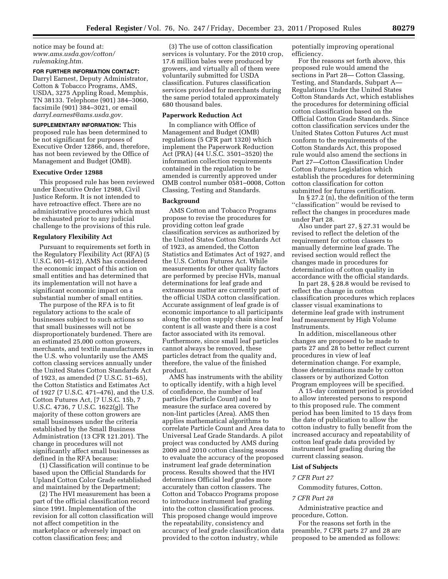notice may be found at: *www.ams.usda.gov/cotton/ rulemaking.htm.* 

# **FOR FURTHER INFORMATION CONTACT:**

Darryl Earnest, Deputy Administrator, Cotton & Tobacco Programs, AMS, USDA, 3275 Appling Road, Memphis, TN 38133. Telephone (901) 384–3060, facsimile (901) 384–3021, or email *darryl.earnest@ams.usda.gov.* 

**SUPPLEMENTARY INFORMATION:** This proposed rule has been determined to be not significant for purposes of Executive Order 12866, and, therefore, has not been reviewed by the Office of Management and Budget (OMB).

# **Executive Order 12988**

This proposed rule has been reviewed under Executive Order 12988, Civil Justice Reform. It is not intended to have retroactive effect. There are no administrative procedures which must be exhausted prior to any judicial challenge to the provisions of this rule.

#### **Regulatory Flexibility Act**

Pursuant to requirements set forth in the Regulatory Flexibility Act (RFA) (5 U.S.C. 601–612), AMS has considered the economic impact of this action on small entities and has determined that its implementation will not have a significant economic impact on a substantial number of small entities.

The purpose of the RFA is to fit regulatory actions to the scale of businesses subject to such actions so that small businesses will not be disproportionately burdened. There are an estimated 25,000 cotton growers, merchants, and textile manufacturers in the U.S. who voluntarily use the AMS cotton classing services annually under the United States Cotton Standards Act of 1923, as amended (7 U.S.C. 51–65), the Cotton Statistics and Estimates Act of 1927 (7 U.S.C. 471–476), and the U.S. Cotton Futures Act, [7 U.S.C. 15b, 7 U.S.C. 4736, 7 U.S.C. 1622(g)]. The majority of these cotton growers are small businesses under the criteria established by the Small Business Administration (13 CFR 121.201). The change in procedures will not significantly affect small businesses as defined in the RFA because:

(1) Classification will continue to be based upon the Official Standards for Upland Cotton Color Grade established and maintained by the Department;

(2) The HVI measurement has been a part of the official classification record since 1991. Implementation of the revision for all cotton classification will not affect competition in the marketplace or adversely impact on cotton classification fees; and

(3) The use of cotton classification services is voluntary. For the 2010 crop, 17.6 million bales were produced by growers, and virtually all of them were voluntarily submitted for USDA classification. Futures classification services provided for merchants during the same period totaled approximately 680 thousand bales.

## **Paperwork Reduction Act**

In compliance with Office of Management and Budget (OMB) regulations (5 CFR part 1320) which implement the Paperwork Reduction Act (PRA) (44 U.S.C. 3501–3520) the information collection requirements contained in the regulation to be amended is currently approved under OMB control number 0581–0008, Cotton Classing, Testing and Standards.

#### **Background**

AMS Cotton and Tobacco Programs propose to revise the procedures for providing cotton leaf grade classification services as authorized by the United States Cotton Standards Act of 1923, as amended, the Cotton Statistics and Estimates Act of 1927, and the U.S. Cotton Futures Act. While measurements for other quality factors are performed by precise HVIs, manual determinations for leaf grade and extraneous matter are currently part of the official USDA cotton classification. Accurate assignment of leaf grade is of economic importance to all participants along the cotton supply chain since leaf content is all waste and there is a cost factor associated with its removal. Furthermore, since small leaf particles cannot always be removed, these particles detract from the quality and, therefore, the value of the finished product.

AMS has instruments with the ability to optically identify, with a high level of confidence, the number of leaf particles (Particle Count) and to measure the surface area covered by non-lint particles (Area). AMS then applies mathematical algorithms to correlate Particle Count and Area data to Universal Leaf Grade Standards. A pilot project was conducted by AMS during 2009 and 2010 cotton classing seasons to evaluate the accuracy of the proposed instrument leaf grade determination process. Results showed that the HVI determines Official leaf grades more accurately than cotton classers. The Cotton and Tobacco Programs propose to introduce instrument leaf grading into the cotton classification process. This proposed change would improve the repeatability, consistency and accuracy of leaf grade classification data provided to the cotton industry, while

potentially improving operational efficiency.

For the reasons set forth above, this proposed rule would amend the sections in Part 28— Cotton Classing, Testing, and Standards, Subpart A— Regulations Under the United States Cotton Standards Act, which establishes the procedures for determining official cotton classification based on the Official Cotton Grade Standards. Since cotton classification services under the United States Cotton Futures Act must conform to the requirements of the Cotton Standards Act, this proposed rule would also amend the sections in Part 27—Cotton Classification Under Cotton Futures Legislation which establish the procedures for determining cotton classification for cotton submitted for futures certification.

In § 27.2 (n), the definition of the term ''classification'' would be revised to reflect the changes in procedures made under Part 28.

Also under part 27, § 27.31 would be revised to reflect the deletion of the requirement for cotton classers to manually determine leaf grade. The revised section would reflect the changes made in procedures for determination of cotton quality in accordance with the official standards.

In part 28, § 28.8 would be revised to reflect the change in cotton classification procedures which replaces classer visual examinations to determine leaf grade with instrument leaf measurement by High Volume Instruments.

In addition, miscellaneous other changes are proposed to be made to parts 27 and 28 to better reflect current procedures in view of leaf determination change. For example, those determinations made by cotton classers or by authorized Cotton Program employees will be specified.

A 15-day comment period is provided to allow interested persons to respond to this proposed rule. The comment period has been limited to 15 days from the date of publication to allow the cotton industry to fully benefit from the increased accuracy and repeatability of cotton leaf grade data provided by instrument leaf grading during the current classing season.

### **List of Subjects**

#### *7 CFR Part 27*

Commodity futures, Cotton.

#### *7 CFR Part 28*

Administrative practice and procedure, Cotton.

For the reasons set forth in the preamble, 7 CFR parts 27 and 28 are proposed to be amended as follows: